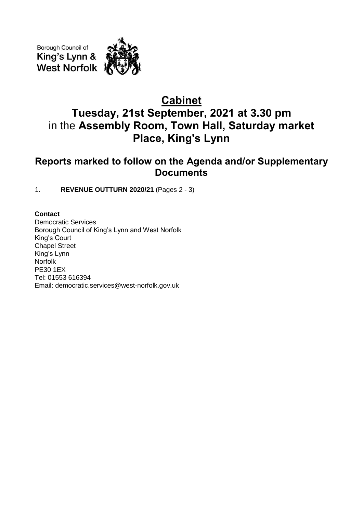Borough Council of King's Lynn & **West Norfolk** 

# **Cabinet Tuesday, 21st September, 2021 at 3.30 pm** in the **Assembly Room, Town Hall, Saturday market Place, King's Lynn**

# **Reports marked to follow on the Agenda and/or Supplementary Documents**

1. **REVENUE OUTTURN 2020/21** (Pages 2 - 3)

## **Contact**

Democratic Services Borough Council of King's Lynn and West Norfolk King's Court Chapel Street King's Lynn Norfolk PE30 1EX Tel: 01553 616394 Email: democratic.services@west-norfolk.gov.uk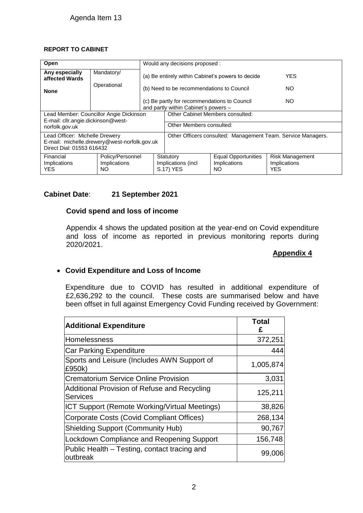#### **REPORT TO CABINET**

| Open                                                                                                        |                                         | Would any decisions proposed :                                                                 |                                                              |                                                   |                                                      |
|-------------------------------------------------------------------------------------------------------------|-----------------------------------------|------------------------------------------------------------------------------------------------|--------------------------------------------------------------|---------------------------------------------------|------------------------------------------------------|
| Any especially<br>affected Wards                                                                            | Mandatory/                              | (a) Be entirely within Cabinet's powers to decide<br>(b) Need to be recommendations to Council |                                                              |                                                   | <b>YES</b>                                           |
| <b>None</b>                                                                                                 | Operational                             |                                                                                                |                                                              |                                                   | NO.                                                  |
|                                                                                                             |                                         | (c) Be partly for recommendations to Council<br>NO.<br>and partly within Cabinet's powers -    |                                                              |                                                   |                                                      |
| Lead Member: Councillor Angie Dickinson                                                                     |                                         |                                                                                                | Other Cabinet Members consulted:                             |                                                   |                                                      |
| E-mail: cllr.angie.dickinson@west-<br>norfolk.gov.uk                                                        |                                         | Other Members consulted:                                                                       |                                                              |                                                   |                                                      |
| Lead Officer: Michelle Drewery<br>E-mail: michelle.drewery@west-norfolk.gov.uk<br>Direct Dial: 01553 616432 |                                         |                                                                                                | Other Officers consulted: Management Team. Service Managers. |                                                   |                                                      |
| Financial<br>Implications<br>YES.                                                                           | Policy/Personnel<br>Implications<br>NO. |                                                                                                | Statutory<br>Implications (incl<br>S.17) YES                 | <b>Equal Opportunities</b><br>Implications<br>NO. | <b>Risk Management</b><br>Implications<br><b>YES</b> |

#### **Cabinet Date**: **21 September 2021**

#### **Covid spend and loss of income**

Appendix 4 shows the updated position at the year-end on Covid expenditure and loss of income as reported in previous monitoring reports during 2020/2021.

#### **Appendix 4**

### **Covid Expenditure and Loss of Income**

Expenditure due to COVID has resulted in additional expenditure of £2,636,292 to the council. These costs are summarised below and have been offset in full against Emergency Covid Funding received by Government:

| <b>Additional Expenditure</b>                                   | <b>Total</b><br>£ |
|-----------------------------------------------------------------|-------------------|
| Homelessness                                                    | 372,251           |
| <b>Car Parking Expenditure</b>                                  | 444               |
| Sports and Leisure (Includes AWN Support of<br>£950k)           | 1,005,874         |
| <b>Crematorium Service Online Provision</b>                     | 3,031             |
| Additional Provision of Refuse and Recycling<br><b>Services</b> | 125,211           |
| ICT Support (Remote Working/Virtual Meetings)                   | 38,826            |
| Corporate Costs (Covid Compliant Offices)                       | 268,134           |
| <b>Shielding Support (Community Hub)</b>                        | 90,767            |
| <b>Lockdown Compliance and Reopening Support</b>                | 156,748           |
| Public Health – Testing, contact tracing and<br>outbreak        | 99,006            |